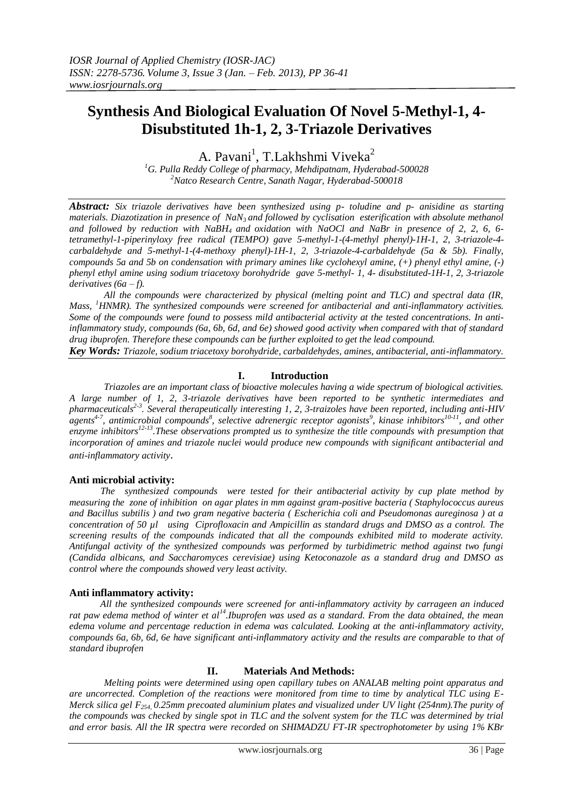# **Synthesis And Biological Evaluation Of Novel 5-Methyl-1, 4- Disubstituted 1h-1, 2, 3-Triazole Derivatives**

A. Pavani<sup>1</sup>, T.Lakhshmi Viveka<sup>2</sup>

*<sup>1</sup>G. Pulla Reddy College of pharmacy, Mehdipatnam, Hyderabad-500028 <sup>2</sup>Natco Research Centre, Sanath Nagar, Hyderabad-500018*

*Abstract: Six triazole derivatives have been synthesized using p- toludine and p- anisidine as starting materials. Diazotization in presence of NaN3 and followed by cyclisation esterification with absolute methanol and followed by reduction with NaBH4 and oxidation with NaOCl and NaBr in presence of 2, 2, 6, 6 tetramethyl-1-piperinyloxy free radical (TEMPO) gave 5-methyl-1-(4-methyl phenyl)-1H-1, 2, 3-triazole-4 carbaldehyde and 5-methyl-1-(4-methoxy phenyl)-1H-1, 2, 3-triazole-4-carbaldehyde (5a & 5b). Finally, compounds 5a and 5b on condensation with primary amines like cyclohexyl amine, (+) phenyl ethyl amine, (-) phenyl ethyl amine using sodium triacetoxy borohydride gave 5-methyl- 1, 4- disubstituted-1H-1, 2, 3-triazole derivatives (6a – f).*

*All the compounds were characterized by physical (melting point and TLC) and spectral data (IR, Mass, <sup>1</sup>HNMR). The synthesized compounds were screened for antibacterial and anti-inflammatory activities. Some of the compounds were found to possess mild antibacterial activity at the tested concentrations. In antiinflammatory study, compounds (6a, 6b, 6d, and 6e) showed good activity when compared with that of standard drug ibuprofen. Therefore these compounds can be further exploited to get the lead compound.* 

*Key Words: Triazole, sodium triacetoxy borohydride, carbaldehydes, amines, antibacterial, anti-inflammatory.*

#### **I. Introduction**

*Triazoles are an important class of bioactive molecules having a wide spectrum of biological activities. A large number of 1, 2, 3-triazole derivatives have been reported to be synthetic intermediates and pharmaceuticals2-3 . Several therapeutically interesting 1, 2, 3-traizoles have been reported, including anti-HIV*  agents<sup>4-7</sup>, antimicrobial compounds<sup>8</sup>, selective adrenergic receptor agonists<sup>9</sup>, kinase inhibitors<sup>10-11</sup>, and other enzyme inhibitors<sup>12-13</sup>. These observations prompted us to synthesize the title compounds with presumption that *incorporation of amines and triazole nuclei would produce new compounds with significant antibacterial and anti-inflammatory activity*.

#### **Anti microbial activity:**

 *The synthesized compounds were tested for their antibacterial activity by cup plate method by measuring the zone of inhibition on agar plates in mm against gram-positive bacteria ( Staphylococcus aureus and Bacillus subtilis ) and two gram negative bacteria ( Escherichia coli and Pseudomonas aureginosa ) at a concentration of 50 µl using Ciprofloxacin and Ampicillin as standard drugs and DMSO as a control. The screening results of the compounds indicated that all the compounds exhibited mild to moderate activity. Antifungal activity of the synthesized compounds was performed by turbidimetric method against two fungi (Candida albicans, and Saccharomyces cerevisiae) using Ketoconazole as a standard drug and DMSO as control where the compounds showed very least activity.*

#### **Anti inflammatory activity:**

 *All the synthesized compounds were screened for anti-inflammatory activity by carrageen an induced rat paw edema method of winter et al<sup>14</sup>.Ibuprofen was used as a standard. From the data obtained, the mean edema volume and percentage reduction in edema was calculated. Looking at the anti-inflammatory activity, compounds 6a, 6b, 6d, 6e have significant anti-inflammatory activity and the results are comparable to that of standard ibuprofen* 

#### **II. Materials And Methods:**

 *Melting points were determined using open capillary tubes on ANALAB melting point apparatus and are uncorrected. Completion of the reactions were monitored from time to time by analytical TLC using E-Merck silica gel F254, 0.25mm precoated aluminium plates and visualized under UV light (254nm).The purity of the compounds was checked by single spot in TLC and the solvent system for the TLC was determined by trial and error basis. All the IR spectra were recorded on SHIMADZU FT-IR spectrophotometer by using 1% KBr*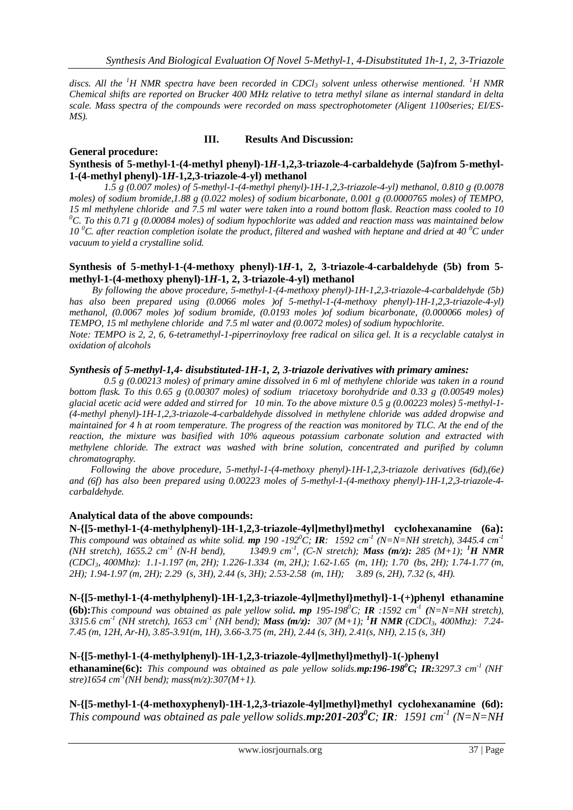*discs. All the <sup>1</sup>H NMR spectra have been recorded in CDCl<sup>3</sup> solvent unless otherwise mentioned. <sup>1</sup>H NMR Chemical shifts are reported on Brucker 400 MHz relative to tetra methyl silane as internal standard in delta scale. Mass spectra of the compounds were recorded on mass spectrophotometer (Aligent 1100series; EI/ES-MS).* 

#### **III. Results And Discussion:**

#### **General procedure: Synthesis of 5-methyl-1-(4-methyl phenyl)-1***H***-1,2,3-triazole-4-carbaldehyde (5a)from 5-methyl-1-(4-methyl phenyl)-1***H***-1,2,3-triazole-4-yl) methanol**

 *1.5 g (0.007 moles) of 5-methyl-1-(4-methyl phenyl)-1H-1,2,3-triazole-4-yl) methanol, 0.810 g (0.0078 moles) of sodium bromide,1.88 g (0.022 moles) of sodium bicarbonate, 0.001 g (0.0000765 moles) of TEMPO, 15 ml methylene chloride and 7.5 ml water were taken into a round bottom flask. Reaction mass cooled to 10 <sup>0</sup>C. To this 0.71 g (0.00084 moles) of sodium hypochlorite was added and reaction mass was maintained below 10 <sup>0</sup>C. after reaction completion isolate the product, filtered and washed with heptane and dried at 40 <sup>0</sup>C under vacuum to yield a crystalline solid.*

#### **Synthesis of 5-methyl-1-(4-methoxy phenyl)-1***H***-1, 2, 3-triazole-4-carbaldehyde (5b) from 5 methyl-1-(4-methoxy phenyl)-1***H***-1, 2, 3-triazole-4-yl) methanol**

 *By following the above procedure, 5-methyl-1-(4-methoxy phenyl)-1H-1,2,3-triazole-4-carbaldehyde (5b) has also been prepared using (0.0066 moles )of 5-methyl-1-(4-methoxy phenyl)-1H-1,2,3-triazole-4-yl) methanol, (0.0067 moles )of sodium bromide, (0.0193 moles )of sodium bicarbonate, (0.000066 moles) of TEMPO, 15 ml methylene chloride and 7.5 ml water and (0.0072 moles) of sodium hypochlorite. Note: TEMPO is 2, 2, 6, 6-tetramethyl-1-piperrinoyloxy free radical on silica gel. It is a recyclable catalyst in oxidation of alcohols*

#### *Synthesis of 5-methyl-1,4- disubstituted-1H-1, 2, 3-triazole derivatives with primary amines:*

*0.5 g (0.00213 moles) of primary amine dissolved in 6 ml of methylene chloride was taken in a round bottom flask. To this 0.65 g (0.00307 moles) of sodium triacetoxy borohydride and 0.33 g (0.00549 moles) glacial acetic acid were added and stirred for 10 min. To the above mixture 0.5 g (0.00223 moles) 5-methyl-1- (4-methyl phenyl)-1H-1,2,3-triazole-4-carbaldehyde dissolved in methylene chloride was added dropwise and maintained for 4 h at room temperature. The progress of the reaction was monitored by TLC. At the end of the reaction, the mixture was basified with 10% aqueous potassium carbonate solution and extracted with methylene chloride. The extract was washed with brine solution, concentrated and purified by column chromatography.* 

 *Following the above procedure, 5-methyl-1-(4-methoxy phenyl)-1H-1,2,3-triazole derivatives (6d),(6e) and (6f) has also been prepared using 0.00223 moles of 5-methyl-1-(4-methoxy phenyl)-1H-1,2,3-triazole-4 carbaldehyde.*

#### **Analytical data of the above compounds:**

**N-{[5-methyl-1-(4-methylphenyl)-1H-1,2,3-triazole-4yl]methyl}methyl cyclohexanamine (6a):** *This compound was obtained as white solid. mp 190 -192<sup>0</sup>C; IR: 1592 cm<sup>-1</sup> (N=N=NH stretch), 3445.4 cm<sup>-1</sup> (NH stretch), 1655.2 cm-1 (N-H bend), 1349.9 cm-1 , (C-N stretch); Mass (m/z): 285 (M+1); <sup>1</sup>H NMR (CDCl3, 400Mhz): 1.1-1.197 (m, 2H); 1.226-1.334 (m, 2H,); 1.62-1.65 (m, 1H); 1.70 (bs, 2H); 1.74-1.77 (m, 2H); 1.94-1.97 (m, 2H); 2.29 (s, 3H), 2.44 (s, 3H); 2.53-2.58 (m, 1H); 3.89 (s, 2H), 7.32 (s, 4H).*

**N-{[5-methyl-1-(4-methylphenyl)-1H-1,2,3-triazole-4yl]methyl}methyl}-1-(+)phenyl ethanamine (6b):***This compound was obtained as pale yellow solid. mp 195-198<sup>0</sup>C; IR :1592 cm<sup>-1</sup> (N=N=NH stretch), 3315.6 cm-1 (NH stretch), 1653 cm-1 (NH bend); Mass (m/z): 307 (M+1); <sup>1</sup>H NMR (CDCl3, 400Mhz): 7.24- 7.45 (m, 12H, Ar-H), 3.85-3.91(m, 1H), 3.66-3.75 (m, 2H), 2.44 (s, 3H), 2.41(s, NH), 2.15 (s, 3H)*

## **N-{[5-methyl-1-(4-methylphenyl)-1H-1,2,3-triazole-4yl]methyl}methyl}-1(-)phenyl**

**ethanamine(6c):** *This compound was obtained as pale yellow solids.mp:196-198<sup>0</sup>C; IR:3297.3 cm-1 (NHstre)1654 cm-1 (NH bend); mass(m/z):307(M+1).*

**N-{[5-methyl-1-(4-methoxyphenyl)-1H-1,2,3-triazole-4yl]methyl}methyl cyclohexanamine (6d):** *This compound was obtained as pale yellow solids.<i>mp*:201-203<sup>*o*</sup>C; **IR**: 1591 cm<sup>-1</sup> (N=N=NH)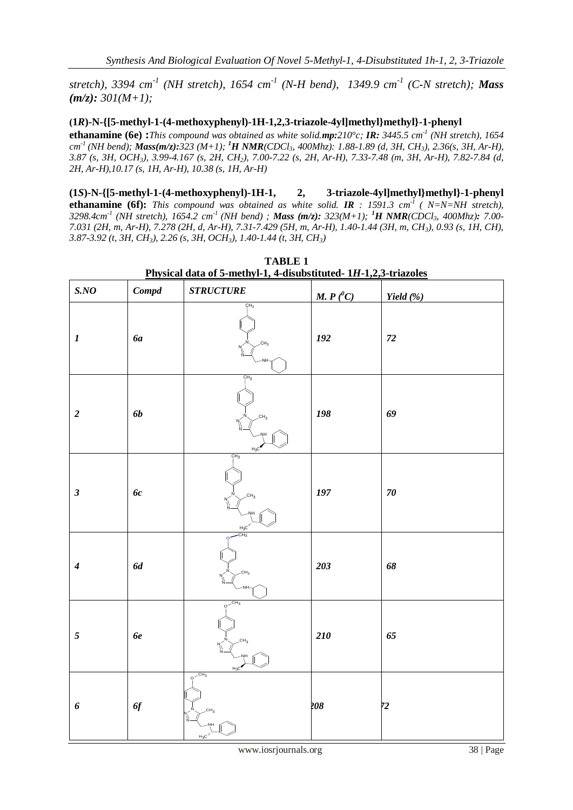*stretch), 3394 cm-1 (NH stretch), 1654 cm-1 (N-H bend), 1349.9 cm-1 (C-N stretch); Mass (m/z): 301(M+1);*

### **(1***R***)-N-{[5-methyl-1-(4-methoxyphenyl)-1H-1,2,3-triazole-4yl]methyl}methyl}-1-phenyl**

**ethanamine (6e) :***This compound was obtained as white solid.mp:210°c; IR: 3445.5 cm-1 (NH stretch), 1654 cm -1 (NH bend); Mass(m/z):323 (M+1); <sup>1</sup>H NMR(CDCl3, 400Mhz): 1.88-1.89 (d, 3H, CH3), 2.36(s, 3H, Ar-H), 3.87 (s, 3H, OCH3), 3.99-4.167 (s, 2H, CH2), 7.00-7.22 (s, 2H, Ar-H), 7.33-7.48 (m, 3H, Ar-H), 7.82-7.84 (d, 2H, Ar-H),10.17 (s, 1H, Ar-H), 10.38 (s, 1H, Ar-H)*

**(1***S***)-N-{[5-methyl-1-(4-methoxyphenyl)-1H-1, 2, 3-triazole-4yl]methyl}methyl}-1-phenyl ethanamine (6f):** *This compound was obtained as white solid. IR : 1591.3 cm-1 ( N=N=NH stretch), 3298.4cm-1 (NH stretch), 1654.2 cm-1 (NH bend) ; Mass (m/z): 323(M+1); <sup>1</sup>H NMR(CDCl3, 400Mhz): 7.00- 7.031 (2H, m, Ar-H), 7.278 (2H, d, Ar-H), 7.31-7.429 (5H, m, Ar-H), 1.40-1.44 (3H, m, CH3), 0.93 (s, 1H, CH), 3.87-3.92 (t, 3H, CH3), 2.26 (s, 3H, OCH3), 1.40-1.44 (t, 3H, CH3)*

| SNO              | Compd     | $\begin{array}{lll} \textit{STRUCTURE} \end{array}$       | M. $P(^0C)$ | Yield $(\%)$ |
|------------------|-----------|-----------------------------------------------------------|-------------|--------------|
| $\boldsymbol{l}$ | 6a        | CH <sub>3</sub><br>CH <sub>3</sub><br>N<br>۱Ì<br>N<br>NН  | $\bf 192$   | $\sqrt{72}$  |
| $\boldsymbol{2}$ | <b>6b</b> | CH <sub>3</sub><br>CH <sub>3</sub><br>$H_3C$              | 198         | 69           |
| $\mathfrak{z}$   | 6c        | CH <sub>3</sub><br>CH <sub>3</sub><br>$\frac{H_3C}{CH_3}$ | $197\,$     | ${\bf 70}$   |
| $\boldsymbol{4}$ | $6d$      | CH <sub>3</sub><br>·NH                                    | 203         | 68           |
| $\mathfrak{s}$   | 6e        | $e^{-CH_3}$<br>CH <sub>3</sub><br>H <sub>2</sub>          | 210         | 65           |
| 6                | 6f        | $e^{-CH_3}$<br>CH <sub>3</sub><br>11<br>$H_3C$            | 208         | 72           |

**TABLE 1 Physical data of 5-methyl-1, 4-disubstituted- 1***H***-1,2,3-triazoles**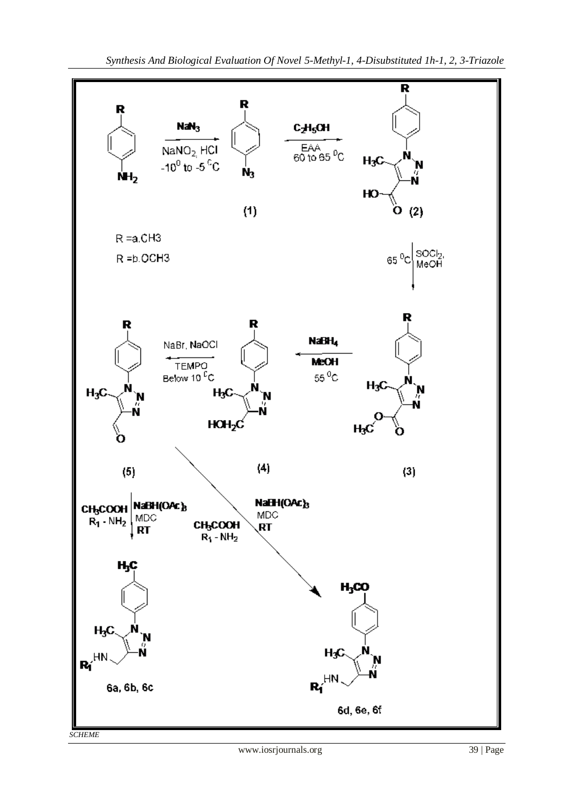

*SCHEME*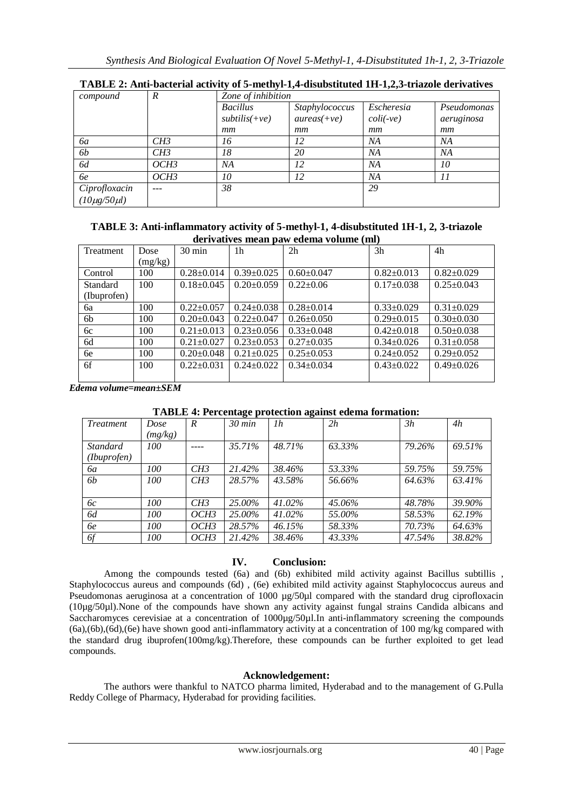| compound            | $\boldsymbol{R}$ | Zone of inhibition |                |                           |             |  |
|---------------------|------------------|--------------------|----------------|---------------------------|-------------|--|
|                     |                  | <b>Bacillus</b>    | Staphylococcus | Escheresia                | Pseudomonas |  |
|                     |                  | $subtilis(+ve)$    | $aures(+ve)$   | $\text{coli}(\text{-ve})$ | aeruginosa  |  |
|                     |                  | mm                 | mm             | mm                        | mm          |  |
| 6a                  | CH3              | 16                 | 12             | NА                        | NA          |  |
| <i><b>6b</b></i>    | CH3              | 18                 | 20             | NA                        | NA          |  |
| 6d                  | OCH3             | NA                 | 12             | NA                        | 10          |  |
| 6e                  | OCH3             | 10                 | 12             | NA                        | 11          |  |
| Ciprofloxacin       |                  | 38                 |                | 29                        |             |  |
| $(10\mu g/50\mu l)$ |                  |                    |                |                           |             |  |

## **TABLE 3: Anti-inflammatory activity of 5-methyl-1, 4-disubstituted 1H-1, 2, 3-triazole derivatives mean paw edema volume (ml)**

| Treatment   | Dose    | 30 min           | 1 <sub>h</sub>   | 2 <sub>h</sub>   | 3h               | 4h               |
|-------------|---------|------------------|------------------|------------------|------------------|------------------|
|             | (mg/kg) |                  |                  |                  |                  |                  |
| Control     | 100     | $0.28 \pm 0.014$ | $0.39 \pm 0.025$ | $0.60 \pm 0.047$ | $0.82 \pm 0.013$ | $0.82 \pm 0.029$ |
| Standard    | 100     | $0.18 \pm 0.045$ | $0.20 \pm 0.059$ | $0.22 \pm 0.06$  | $0.17 \pm 0.038$ | $0.25 \pm 0.043$ |
| (Ibuprofen) |         |                  |                  |                  |                  |                  |
| бa          | 100     | $0.22 \pm 0.057$ | $0.24 \pm 0.038$ | $0.28 \pm 0.014$ | $0.33 \pm 0.029$ | $0.31 \pm 0.029$ |
| 6b          | 100     | $0.20 \pm 0.043$ | $0.22 \pm 0.047$ | $0.26 \pm 0.050$ | $0.29 \pm 0.015$ | $0.30 \pm 0.030$ |
| 6c          | 100     | $0.21 \pm 0.013$ | $0.23 \pm 0.056$ | $0.33 \pm 0.048$ | $0.42 \pm 0.018$ | $0.50 \pm 0.038$ |
| 6d          | 100     | $0.21 \pm 0.027$ | $0.23 \pm 0.053$ | $0.27 \pm 0.035$ | $0.34 \pm 0.026$ | $0.31 \pm 0.058$ |
| 6e          | 100     | $0.20 \pm 0.048$ | $0.21 \pm 0.025$ | $0.25 \pm 0.053$ | $0.24 \pm 0.052$ | $0.29 \pm 0.052$ |
| 6f          | 100     | $0.22 \pm 0.031$ | $0.24 \pm 0.022$ | $0.34 \pm 0.034$ | $0.43 \pm 0.022$ | $0.49 \pm 0.026$ |
|             |         |                  |                  |                  |                  |                  |

*Edema volume=mean±SEM*

| <b>Treatment</b> | Dose    | $\boldsymbol{R}$ | . <del>. .</del><br>$30 \text{ min}$ | ี⊶<br>1h  | 2h     | 3h     | 4h     |
|------------------|---------|------------------|--------------------------------------|-----------|--------|--------|--------|
|                  | (mg/kg) |                  |                                      |           |        |        |        |
| <i>Standard</i>  | 100     |                  | 35.71%                               | 48.71%    | 63.33% | 79.26% | 69.51% |
| (Ibuprofen)      |         |                  |                                      |           |        |        |        |
| 6a               | 100     | CH3              | 21.42%                               | 38.46%    | 53.33% | 59.75% | 59.75% |
| 6b               | 100     | CH3              | 28.57%                               | 43.58%    | 56.66% | 64.63% | 63.41% |
|                  |         |                  |                                      |           |        |        |        |
| 6c               | 100     | CH3              | 25.00%                               | $41.02\%$ | 45.06% | 48.78% | 39.90% |
| 6d               | 100     | OCH3             | 25.00%                               | 41.02%    | 55.00% | 58.53% | 62.19% |
| 6e               | 100     | OCH3             | 28.57%                               | 46.15%    | 58.33% | 70.73% | 64.63% |
| 6f               | 100     | OCH3             | 21.42%                               | 38.46%    | 43.33% | 47.54% | 38.82% |

## **TABLE 4: Percentage protection against edema formation:**

## **IV. Conclusion:**

Among the compounds tested (6a) and (6b) exhibited mild activity against Bacillus subtillis, Staphylococcus aureus and compounds (6d) , (6e) exhibited mild activity against Staphylococcus aureus and Pseudomonas aeruginosa at a concentration of 1000 µg/50µl compared with the standard drug ciprofloxacin (10µg/50µl).None of the compounds have shown any activity against fungal strains Candida albicans and Saccharomyces cerevisiae at a concentration of 1000µg/50µl.In anti-inflammatory screening the compounds (6a),(6b),(6d),(6e) have shown good anti-inflammatory activity at a concentration of 100 mg/kg compared with the standard drug ibuprofen(100mg/kg).Therefore, these compounds can be further exploited to get lead compounds.

#### **Acknowledgement:**

The authors were thankful to NATCO pharma limited, Hyderabad and to the management of G.Pulla Reddy College of Pharmacy, Hyderabad for providing facilities.